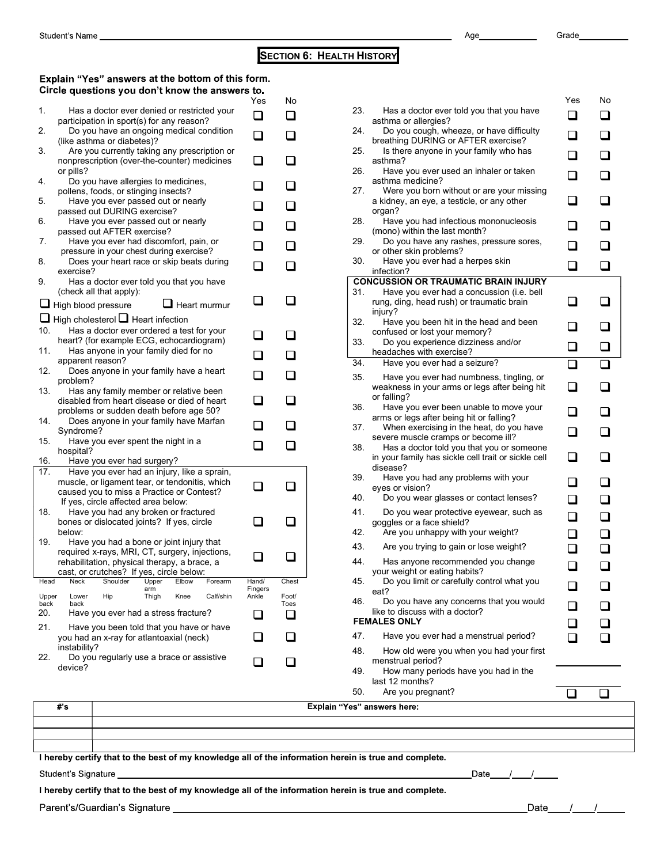## **SECTION 6: HEALTH HISTORY**

## Explain "Yes" answers at the bottom of this form. Circle questions you don't know the answers to

| Student's Name<br><b>SECTION 6: HEALTH HISTORY</b> |                                                                                                      |                          |       |                                       |  |  |  |  |  |  |  |
|----------------------------------------------------|------------------------------------------------------------------------------------------------------|--------------------------|-------|---------------------------------------|--|--|--|--|--|--|--|
|                                                    |                                                                                                      |                          |       |                                       |  |  |  |  |  |  |  |
|                                                    | Explain "Yes" answers at the bottom of this form.<br>Circle questions you don't know the answers to. |                          |       |                                       |  |  |  |  |  |  |  |
|                                                    |                                                                                                      | Yes                      | No    |                                       |  |  |  |  |  |  |  |
| 1.                                                 | Has a doctor ever denied or restricted your<br>participation in sport(s) for any reason?             |                          | n l   | 23.<br>Has a docto<br>asthma or alle  |  |  |  |  |  |  |  |
| 2.                                                 | Do you have an ongoing medical condition                                                             | $\overline{\phantom{a}}$ |       | 24.<br>Do you cou                     |  |  |  |  |  |  |  |
| 3.                                                 | (like asthma or diabetes)?<br>Are you currently taking any prescription or                           |                          |       | breathing DUF<br>25.<br>Is there any  |  |  |  |  |  |  |  |
|                                                    | nonprescription (over-the-counter) medicines                                                         |                          |       | asthma?                               |  |  |  |  |  |  |  |
| 4.                                                 | or pills?<br>Do you have allergies to medicines,                                                     |                          |       | 26.<br>Have you e<br>asthma medic     |  |  |  |  |  |  |  |
|                                                    | pollens, foods, or stinging insects?                                                                 |                          |       | 27.<br>Were you b                     |  |  |  |  |  |  |  |
| 5.                                                 | Have you ever passed out or nearly<br>passed out DURING exercise?                                    |                          |       | a kidney, an e<br>organ?              |  |  |  |  |  |  |  |
| 6.                                                 | Have you ever passed out or nearly                                                                   |                          |       | 28.<br>Have you h                     |  |  |  |  |  |  |  |
| 7.                                                 | passed out AFTER exercise?<br>Have you ever had discomfort, pain, or                                 |                          |       | (mono) within<br>29.<br>Do you hav    |  |  |  |  |  |  |  |
|                                                    | pressure in your chest during exercise?                                                              |                          |       | or other skin p<br>30.                |  |  |  |  |  |  |  |
| 8.                                                 | Does your heart race or skip beats during<br>exercise?                                               | ┓                        |       | Have you e<br>infection?              |  |  |  |  |  |  |  |
| 9.                                                 | Has a doctor ever told you that you have<br>(check all that apply):                                  |                          |       | <b>CONCUSSION OR</b><br>31.           |  |  |  |  |  |  |  |
|                                                    | High blood pressure<br>Heart murmur                                                                  |                          |       | Have you e<br>rung, ding, hea         |  |  |  |  |  |  |  |
|                                                    | <b>□</b> High cholesterol <b>□</b> Heart infection                                                   |                          |       | injury?<br>32.<br>Have you b          |  |  |  |  |  |  |  |
| 10.                                                | Has a doctor ever ordered a test for your                                                            |                          |       | confused or lo                        |  |  |  |  |  |  |  |
| 11.                                                | heart? (for example ECG, echocardiogram)<br>Has anyone in your family died for no                    |                          |       | 33.<br>Do you exp<br>headaches wit    |  |  |  |  |  |  |  |
|                                                    | apparent reason?                                                                                     |                          |       | 34.<br>Have you e                     |  |  |  |  |  |  |  |
| 12.                                                | Does anyone in your family have a heart<br>problem?                                                  |                          |       | 35.<br>Have you e                     |  |  |  |  |  |  |  |
| 13.                                                | Has any family member or relative been                                                               |                          |       | weakness in y<br>or falling?          |  |  |  |  |  |  |  |
|                                                    | disabled from heart disease or died of heart<br>problems or sudden death before age 50?              |                          |       | 36.<br>Have you e                     |  |  |  |  |  |  |  |
| 14.                                                | Does anyone in your family have Marfan<br>Syndrome?                                                  |                          |       | arms or legs a<br>37.<br>When exer    |  |  |  |  |  |  |  |
| 15.                                                | Have you ever spent the night in a                                                                   |                          |       | severe muscle<br>38.                  |  |  |  |  |  |  |  |
| 16.                                                | hospital?<br>Have you ever had surgery?                                                              |                          |       | Has a docto<br>in your family l       |  |  |  |  |  |  |  |
| 17.                                                | Have you ever had an injury, like a sprain,                                                          |                          |       | disease?<br>39.<br>Have you h         |  |  |  |  |  |  |  |
|                                                    | muscle, or ligament tear, or tendonitis, which<br>caused you to miss a Practice or Contest?          |                          |       | eyes or vision'                       |  |  |  |  |  |  |  |
|                                                    | If yes, circle affected area below:                                                                  |                          |       | 40.<br>Do you wea                     |  |  |  |  |  |  |  |
| 18.                                                | Have you had any broken or fractured<br>bones or dislocated joints? If yes, circle                   |                          |       | 41.<br>Do you wea<br>goggles or a fa  |  |  |  |  |  |  |  |
|                                                    | below:                                                                                               |                          |       | 42.<br>Are you unl                    |  |  |  |  |  |  |  |
| 19.                                                | Have you had a bone or joint injury that<br>required x-rays, MRI, CT, surgery, injections,           |                          |       | 43.<br>Are you tryi                   |  |  |  |  |  |  |  |
|                                                    | rehabilitation, physical therapy, a brace, a                                                         |                          |       | 44.<br>Has anyone                     |  |  |  |  |  |  |  |
| Head                                               | cast, or crutches? If yes, circle below:<br>Neck<br>Shoulder<br>Upper<br>Elbow<br>Forearm            | Hand/                    | Chest | your weight or<br>45.<br>Do you limit |  |  |  |  |  |  |  |
| Upper                                              | arm<br>Lower<br>Hip<br>Thigh<br>Knee<br>Calf/shin                                                    | Fingers<br>Ankle         | Foot/ | eat?<br>46.                           |  |  |  |  |  |  |  |
| back<br>20.                                        | back<br>Have you ever had a stress fracture?                                                         |                          | Toes  | Do you hav<br>like to discuss         |  |  |  |  |  |  |  |
| 21.                                                | Have you been told that you have or have                                                             |                          |       | <b>FEMALES ONLY</b>                   |  |  |  |  |  |  |  |
|                                                    | you had an x-ray for atlantoaxial (neck)                                                             |                          |       | 47.<br>Have you e                     |  |  |  |  |  |  |  |
|                                                    | instability?<br>Do you regularly use a brace or assistive                                            |                          |       | 48.<br>How old we                     |  |  |  |  |  |  |  |
| 22.                                                | device?                                                                                              |                          |       | menstrual peri                        |  |  |  |  |  |  |  |

|            | Age                                                                                       | Grade                       |                          |
|------------|-------------------------------------------------------------------------------------------|-----------------------------|--------------------------|
|            | <b>H HISTORY</b>                                                                          |                             |                          |
|            |                                                                                           |                             |                          |
|            |                                                                                           | Yes                         | No                       |
| 23.        | Has a doctor ever told you that you have<br>asthma or allergies?                          | □                           | ப                        |
| 24.        | Do you cough, wheeze, or have difficulty                                                  | □                           | $\mathbf{I}$             |
| 25.        | breathing DURING or AFTER exercise?<br>Is there anyone in your family who has             | $\overline{\phantom{a}}$    |                          |
| 26.        | asthma?<br>Have you ever used an inhaler or taken                                         | ப                           |                          |
| 27.        | asthma medicine?<br>Were you born without or are your missing                             |                             |                          |
|            | a kidney, an eye, a testicle, or any other<br>organ?                                      | l 1                         |                          |
| 28.        | Have you had infectious mononucleosis<br>(mono) within the last month?                    |                             |                          |
| 29.        | Do you have any rashes, pressure sores,<br>or other skin problems?                        |                             |                          |
| 30.        | Have you ever had a herpes skin<br>infection?                                             | □                           |                          |
| 31.        | <b>CONCUSSION OR TRAUMATIC BRAIN INJURY</b><br>Have you ever had a concussion (i.e. bell  |                             |                          |
|            | rung, ding, head rush) or traumatic brain<br>injury?                                      | ❏                           | $\Box$                   |
| 32.        | Have you been hit in the head and been<br>confused or lost your memory?                   | ப                           | $\sqcup$                 |
| 33.        | Do you experience dizziness and/or<br>headaches with exercise?                            | ❏                           | ❏                        |
| 34.        | Have you ever had a seizure?                                                              | $\Box$                      | □                        |
| 35.        | Have you ever had numbness, tingling, or<br>weakness in your arms or legs after being hit | ❏                           |                          |
| 36.        | or falling?<br>Have you ever been unable to move your                                     |                             |                          |
| 37.        | arms or legs after being hit or falling?<br>When exercising in the heat, do you have      | ❏                           |                          |
| 38.        | severe muscle cramps or become ill?<br>Has a doctor told you that you or someone          | ❏                           |                          |
|            | in your family has sickle cell trait or sickle cell<br>disease?                           | ❏                           | $\overline{\phantom{a}}$ |
| 39.        | Have you had any problems with your<br>eyes or vision?                                    | ப                           | Ш                        |
| 40.        | Do you wear glasses or contact lenses?                                                    | ◻                           |                          |
| 41.        | Do you wear protective eyewear, such as<br>goggles or a face shield?                      | ❏                           |                          |
| 42.<br>43. | Are you unhappy with your weight?<br>Are you trying to gain or lose weight?               | $\Box$<br>□                 | ❏<br>$\Box$              |
| 44.        | Has anyone recommended you change                                                         | $\Box$                      | $\overline{\phantom{a}}$ |
| 45.        | your weight or eating habits?<br>Do you limit or carefully control what you               | ப                           | $\overline{\phantom{0}}$ |
| 46.        | eat?<br>Do you have any concerns that you would                                           | ⊔                           |                          |
|            | like to discuss with a doctor?<br><b>FEMALES ONLY</b>                                     | $\mathcal{L}_{\mathcal{A}}$ |                          |
| 47.        | Have you ever had a menstrual period?                                                     | $\overline{\phantom{a}}$    |                          |
| 48.        | How old were you when you had your first<br>menstrual period?                             |                             |                          |
|            | How many periods have you had in the<br>last 12 months?                                   |                             |                          |
| 49.        |                                                                                           |                             |                          |

| Explain "Yes" answers here: |
|-----------------------------|
|                             |
|                             |
|                             |

## I hereby certify that to the best of my knowledge all of the information herein is true and complete.

Student's Signature

I hereby certify that to the best of my knowledge all of the information herein is true and complete.

Parent's/Guardian's Signature

 $Date$ 

\_Date\_\_\_\_\_/\_